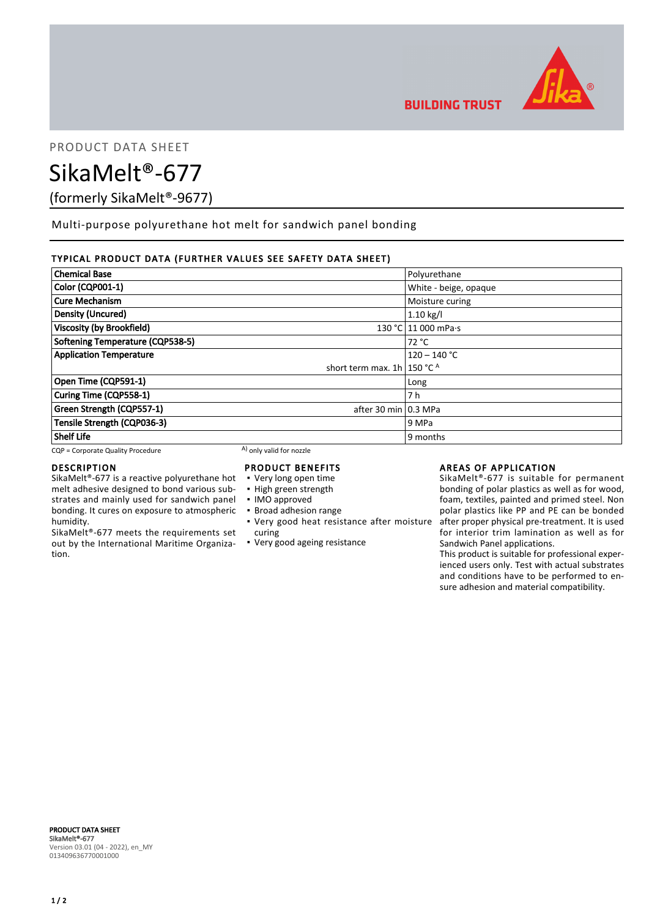

PRODUCT DATA SHEET

SikaMelt®-677

(formerly SikaMelt®-9677)

Multi-purpose polyurethane hot melt for sandwich panel bonding

# TYPICAL PRODUCT DATA (FURTHER VALUES SEE SAFETY DATA SHEET)

| <b>Chemical Base</b>              |                                         | Polyurethane          |
|-----------------------------------|-----------------------------------------|-----------------------|
| Color (CQP001-1)                  |                                         | White - beige, opaque |
| <b>Cure Mechanism</b>             |                                         | Moisture curing       |
| Density (Uncured)                 |                                         | $1.10$ kg/l           |
| <b>Viscosity (by Brookfield)</b>  |                                         | 130 °C 11 000 mPa.s   |
| Softening Temperature (CQP538-5)  |                                         | 72 °C                 |
| <b>Application Temperature</b>    |                                         | $120 - 140 °C$        |
|                                   | short term max. 1h   150 $^{\circ}$ C A |                       |
| Open Time (CQP591-1)              |                                         | Long                  |
| Curing Time (CQP558-1)            |                                         | 7 h                   |
| Green Strength (CQP557-1)         | after 30 min 0.3 MPa                    |                       |
| Tensile Strength (CQP036-3)       |                                         | 9 MPa                 |
| <b>Shelf Life</b>                 |                                         | 9 months              |
| CQP = Corporate Quality Procedure | A) only valid for nozzle                |                       |

## DESCRIPTION

SikaMelt®-677 is a reactive polyurethane hot melt adhesive designed to bond various substrates and mainly used for sandwich panel bonding. It cures on exposure to atmospheric humidity.

SikaMelt®-677 meets the requirements set out by the International Maritime Organization.

# PRODUCT BENEFITS

- Very long open time
- High green strength
- IMO approved
- Broad adhesion range
- Very good heat resistance after moisture curing
- Very good ageing resistance

## AREAS OF APPLICATION

SikaMelt®-677 is suitable for permanent bonding of polar plastics as well as for wood, foam, textiles, painted and primed steel. Non polar plastics like PP and PE can be bonded after proper physical pre-treatment. It is used for interior trim lamination as well as for Sandwich Panel applications.

This product is suitable for professional experienced users only. Test with actual substrates and conditions have to be performed to ensure adhesion and material compatibility.